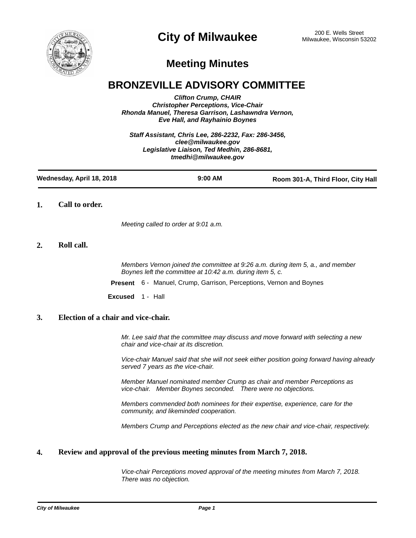

# **City of Milwaukee** 200 E. Wells Street 200 E. Wells Street

## **Meeting Minutes**

## **BRONZEVILLE ADVISORY COMMITTEE**

*Clifton Crump, CHAIR Christopher Perceptions, Vice-Chair Rhonda Manuel, Theresa Garrison, Lashawndra Vernon, Eve Hall, and Rayhainio Boynes*

*Staff Assistant, Chris Lee, 286-2232, Fax: 286-3456, clee@milwaukee.gov Legislative Liaison, Ted Medhin, 286-8681, tmedhi@milwaukee.gov*

| Wednesday, April 18, 2018 | $9:00$ AM | Room 301-A, Third Floor, City Hall |
|---------------------------|-----------|------------------------------------|
|---------------------------|-----------|------------------------------------|

**1. Call to order.**

*Meeting called to order at 9:01 a.m.*

## **2. Roll call.**

*Members Vernon joined the committee at 9:26 a.m. during item 5, a., and member Boynes left the committee at 10:42 a.m. during item 5, c.*

**Present** 6 - Manuel, Crump, Garrison, Perceptions, Vernon and Boynes

**Excused** 1 - Hall

### **3. Election of a chair and vice-chair.**

*Mr. Lee said that the committee may discuss and move forward with selecting a new chair and vice-chair at its discretion.*

*Vice-chair Manuel said that she will not seek either position going forward having already served 7 years as the vice-chair.*

*Member Manuel nominated member Crump as chair and member Perceptions as vice-chair. Member Boynes seconded. There were no objections.*

*Members commended both nominees for their expertise, experience, care for the community, and likeminded cooperation.*

*Members Crump and Perceptions elected as the new chair and vice-chair, respectively.*

## **4. Review and approval of the previous meeting minutes from March 7, 2018.**

*Vice-chair Perceptions moved approval of the meeting minutes from March 7, 2018. There was no objection.*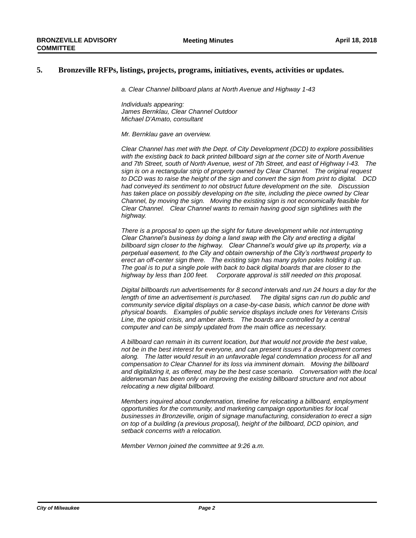#### **5. Bronzeville RFPs, listings, projects, programs, initiatives, events, activities or updates.**

*a. Clear Channel billboard plans at North Avenue and Highway 1-43*

*Individuals appearing: James Bernklau, Clear Channel Outdoor Michael D'Amato, consultant*

*Mr. Bernklau gave an overview.* 

*Clear Channel has met with the Dept. of City Development (DCD) to explore possibilities*  with the existing back to back printed billboard sign at the corner site of North Avenue *and 7th Street, south of North Avenue, west of 7th Street, and east of Highway I-43. The sign is on a rectangular strip of property owned by Clear Channel. The original request to DCD was to raise the height of the sign and convert the sign from print to digital. DCD had conveyed its sentiment to not obstruct future development on the site. Discussion has taken place on possibly developing on the site, including the piece owned by Clear Channel, by moving the sign. Moving the existing sign is not economically feasible for Clear Channel. Clear Channel wants to remain having good sign sightlines with the highway.*

*There is a proposal to open up the sight for future development while not interrupting Clear Channel's business by doing a land swap with the City and erecting a digital billboard sign closer to the highway. Clear Channel's would give up its property, via a perpetual easement, to the City and obtain ownership of the City's northwest property to erect an off-center sign there. The existing sign has many pylon poles holding it up. The goal is to put a single pole with back to back digital boards that are closer to the highway by less than 100 feet. Corporate approval is still needed on this proposal.* 

*Digital billboards run advertisements for 8 second intervals and run 24 hours a day for the*  length of time an advertisement is purchased. The digital signs can run do public and *community service digital displays on a case-by-case basis, which cannot be done with physical boards. Examples of public service displays include ones for Veterans Crisis Line, the opioid crisis, and amber alerts. The boards are controlled by a central computer and can be simply updated from the main office as necessary.*

*A billboard can remain in its current location, but that would not provide the best value, not be in the best interest for everyone, and can present issues if a development comes along. The latter would result in an unfavorable legal condemnation process for all and compensation to Clear Channel for its loss via imminent domain. Moving the billboard and digitalizing it, as offered, may be the best case scenario. Conversation with the local alderwoman has been only on improving the existing billboard structure and not about relocating a new digital billboard.* 

*Members inquired about condemnation, timeline for relocating a billboard, employment opportunities for the community, and marketing campaign opportunities for local businesses in Bronzeville, origin of signage manufacturing, consideration to erect a sign on top of a building (a previous proposal), height of the billboard, DCD opinion, and setback concerns with a relocation.*

*Member Vernon joined the committee at 9:26 a.m.*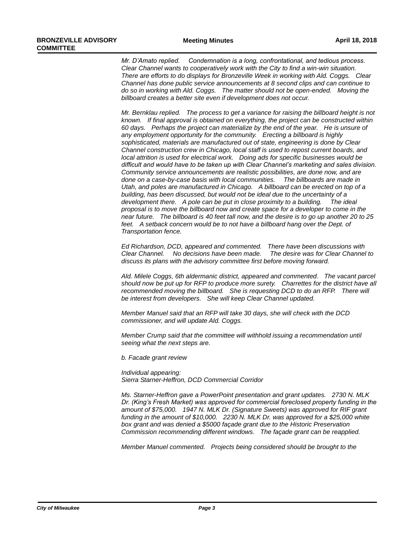*Mr. D'Amato replied. Condemnation is a long, confrontational, and tedious process. Clear Channel wants to cooperatively work with the City to find a win-win situation. There are efforts to do displays for Bronzeville Week in working with Ald. Coggs. Clear Channel has done public service announcements at 8 second clips and can continue to do so in working with Ald. Coggs. The matter should not be open-ended. Moving the billboard creates a better site even if development does not occur.*

*Mr. Bernklau replied. The process to get a variance for raising the billboard height is not known. If final approval is obtained on everything, the project can be constructed within 60 days. Perhaps the project can materialize by the end of the year. He is unsure of any employment opportunity for the community. Erecting a billboard is highly sophisticated, materials are manufactured out of state, engineering is done by Clear Channel construction crew in Chicago, local staff is used to repost current boards, and local attrition is used for electrical work. Doing ads for specific businesses would be difficult and would have to be taken up with Clear Channel's marketing and sales division. Community service announcements are realistic possibilities, are done now, and are done on a case-by-case basis with local communities. The billboards are made in Utah, and poles are manufactured in Chicago. A billboard can be erected on top of a building, has been discussed, but would not be ideal due to the uncertainty of a development there. A pole can be put in close proximity to a building. The ideal proposal is to move the billboard now and create space for a developer to come in the near future. The billboard is 40 feet tall now, and the desire is to go up another 20 to 25*  feet. A setback concern would be to not have a billboard hang over the Dept. of *Transportation fence.*

*Ed Richardson, DCD, appeared and commented. There have been discussions with Clear Channel. No decisions have been made. The desire was for Clear Channel to discuss its plans with the advisory committee first before moving forward.*

*Ald. Milele Coggs, 6th aldermanic district, appeared and commented. The vacant parcel should now be put up for RFP to produce more surety. Charrettes for the district have all*  recommended moving the billboard. She is requesting DCD to do an RFP. There will *be interest from developers. She will keep Clear Channel updated.*

*Member Manuel said that an RFP will take 30 days, she will check with the DCD commissioner, and will update Ald. Coggs.*

*Member Crump said that the committee will withhold issuing a recommendation until seeing what the next steps are.* 

*b. Facade grant review*

*Individual appearing: Sierra Starner-Heffron, DCD Commercial Corridor*

*Ms. Starner-Heffron gave a PowerPoint presentation and grant updates. 2730 N. MLK Dr. (King's Fresh Market) was approved for commercial foreclosed property funding in the amount of \$75,000. 1947 N. MLK Dr. (Signature Sweets) was approved for RIF grant funding in the amount of \$10,000. 2230 N. MLK Dr. was approved for a \$25,000 white box grant and was denied a \$5000 façade grant due to the Historic Preservation Commission recommending different windows. The façade grant can be reapplied.* 

*Member Manuel commented. Projects being considered should be brought to the*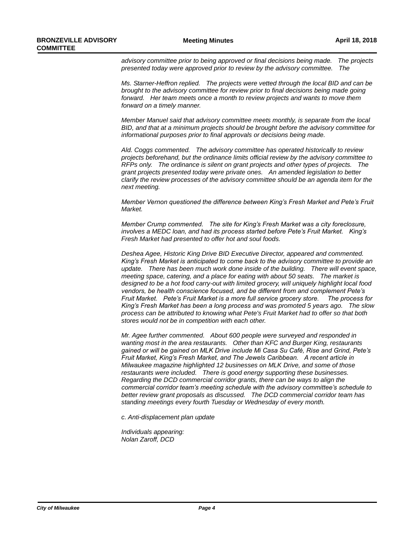*advisory committee prior to being approved or final decisions being made. The projects presented today were approved prior to review by the advisory committee. The* 

*Ms. Starner-Heffron replied. The projects were vetted through the local BID and can be brought to the advisory committee for review prior to final decisions being made going forward. Her team meets once a month to review projects and wants to move them forward on a timely manner.*

*Member Manuel said that advisory committee meets monthly, is separate from the local BID, and that at a minimum projects should be brought before the advisory committee for informational purposes prior to final approvals or decisions being made.*

*Ald. Coggs commented. The advisory committee has operated historically to review projects beforehand, but the ordinance limits official review by the advisory committee to RFPs only. The ordinance is silent on grant projects and other types of projects. The grant projects presented today were private ones. An amended legislation to better clarify the review processes of the advisory committee should be an agenda item for the next meeting.*

*Member Vernon questioned the difference between King's Fresh Market and Pete's Fruit Market.*

*Member Crump commented. The site for King's Fresh Market was a city foreclosure, involves a MEDC loan, and had its process started before Pete's Fruit Market. King's Fresh Market had presented to offer hot and soul foods.* 

*Deshea Agee, Historic King Drive BID Executive Director, appeared and commented. King's Fresh Market is anticipated to come back to the advisory committee to provide an*  update. There has been much work done inside of the building. There will event space, *meeting space, catering, and a place for eating with about 50 seats. The market is designed to be a hot food carry-out with limited grocery, will uniquely highlight local food vendors, be health conscience focused, and be different from and complement Pete's Fruit Market. Pete's Fruit Market is a more full service grocery store. The process for King's Fresh Market has been a long process and was promoted 5 years ago. The slow process can be attributed to knowing what Pete's Fruit Market had to offer so that both stores would not be in competition with each other.* 

*Mr. Agee further commented. About 600 people were surveyed and responded in wanting most in the area restaurants. Other than KFC and Burger King, restaurants gained or will be gained on MLK Drive include Mi Casa Su Café, Rise and Grind, Pete's Fruit Market, King's Fresh Market, and The Jewels Caribbean. A recent article in Milwaukee magazine highlighted 12 businesses on MLK Drive, and some of those restaurants were included. There is good energy supporting these businesses. Regarding the DCD commercial corridor grants, there can be ways to align the commercial corridor team's meeting schedule with the advisory committee's schedule to better review grant proposals as discussed. The DCD commercial corridor team has standing meetings every fourth Tuesday or Wednesday of every month.*

*c. Anti-displacement plan update*

*Individuals appearing: Nolan Zaroff, DCD*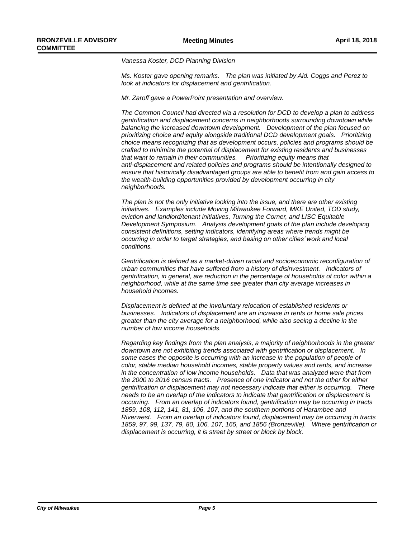*Vanessa Koster, DCD Planning Division*

*Ms. Koster gave opening remarks. The plan was initiated by Ald. Coggs and Perez to look at indicators for displacement and gentrification.*

*Mr. Zaroff gave a PowerPoint presentation and overview.* 

*The Common Council had directed via a resolution for DCD to develop a plan to address gentrification and displacement concerns in neighborhoods surrounding downtown while balancing the increased downtown development. Development of the plan focused on prioritizing choice and equity alongside traditional DCD development goals. Prioritizing choice means recognizing that as development occurs, policies and programs should be crafted to minimize the potential of displacement for existing residents and businesses that want to remain in their communities. Prioritizing equity means that anti-displacement and related policies and programs should be intentionally designed to ensure that historically disadvantaged groups are able to benefit from and gain access to the wealth-building opportunities provided by development occurring in city neighborhoods.*

*The plan is not the only initiative looking into the issue, and there are other existing initiatives. Examples include Moving Milwaukee Forward, MKE United, TOD study, eviction and landlord/tenant initiatives, Turning the Corner, and LISC Equitable Development Symposium. Analysis development goals of the plan include developing consistent definitions, setting indicators, identifying areas where trends might be occurring in order to target strategies, and basing on other cities' work and local conditions.* 

Gentrification is defined as a market-driven racial and socioeconomic reconfiguration of *urban communities that have suffered from a history of disinvestment. Indicators of gentrification, in general, are reduction in the percentage of households of color within a neighborhood, while at the same time see greater than city average increases in household incomes.*

*Displacement is defined at the involuntary relocation of established residents or businesses. Indicators of displacement are an increase in rents or home sale prices greater than the city average for a neighborhood, while also seeing a decline in the number of low income households.*

*Regarding key findings from the plan analysis, a majority of neighborhoods in the greater downtown are not exhibiting trends associated with gentrification or displacement. In some cases the opposite is occurring with an increase in the population of people of color, stable median household incomes, stable property values and rents, and increase in the concentration of low income households. Data that was analyzed were that from the 2000 to 2016 census tracts. Presence of one indicator and not the other for either gentrification or displacement may not necessary indicate that either is occurring. There needs to be an overlap of the indicators to indicate that gentrification or displacement is occurring. From an overlap of indicators found, gentrification may be occurring in tracts 1859, 108, 112, 141, 81, 106, 107, and the southern portions of Harambee and Riverwest. From an overlap of indicators found, displacement may be occurring in tracts 1859, 97, 99, 137, 79, 80, 106, 107, 165, and 1856 (Bronzeville). Where gentrification or displacement is occurring, it is street by street or block by block.*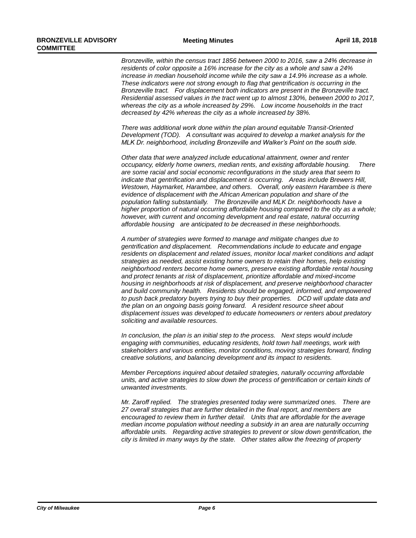*Bronzeville, within the census tract 1856 between 2000 to 2016, saw a 24% decrease in residents of color opposite a 16% increase for the city as a whole and saw a 24%*  increase in median household income while the city saw a 14.9% increase as a whole. *These indicators were not strong enough to flag that gentrification is occurring in the Bronzeville tract. For displacement both indicators are present in the Bronzeville tract. Residential assessed values in the tract went up to almost 130%, between 2000 to 2017, whereas the city as a whole increased by 29%. Low income households in the tract decreased by 42% whereas the city as a whole increased by 38%.*

*There was additional work done within the plan around equitable Transit-Oriented Development (TOD). A consultant was acquired to develop a market analysis for the MLK Dr. neighborhood, including Bronzeville and Walker's Point on the south side.* 

*Other data that were analyzed include educational attainment, owner and renter occupancy, elderly home owners, median rents, and existing affordable housing. There are some racial and social economic reconfigurations in the study area that seem to indicate that gentrification and displacement is occurring. Areas include Brewers Hill, Westown, Haymarket, Harambee, and others. Overall, only eastern Harambee is there evidence of displacement with the African American population and share of the population falling substantially. The Bronzeville and MLK Dr. neighborhoods have a*  higher proportion of natural occurring affordable housing compared to the city as a whole; *however, with current and oncoming development and real estate, natural occurring affordable housing are anticipated to be decreased in these neighborhoods.*

*A number of strategies were formed to manage and mitigate changes due to gentrification and displacement. Recommendations include to educate and engage residents on displacement and related issues, monitor local market conditions and adapt strategies as needed, assist existing home owners to retain their homes, help existing neighborhood renters become home owners, preserve existing affordable rental housing and protect tenants at risk of displacement, prioritize affordable and mixed-income housing in neighborhoods at risk of displacement, and preserve neighborhood character and build community health. Residents should be engaged, informed, and empowered to push back predatory buyers trying to buy their properties. DCD will update data and the plan on an ongoing basis going forward. A resident resource sheet about displacement issues was developed to educate homeowners or renters about predatory soliciting and available resources.*

*In conclusion, the plan is an initial step to the process. Next steps would include*  engaging with communities, educating residents, hold town hall meetings, work with *stakeholders and various entities, monitor conditions, moving strategies forward, finding creative solutions, and balancing development and its impact to residents.*

*Member Perceptions inquired about detailed strategies, naturally occurring affordable units, and active strategies to slow down the process of gentrification or certain kinds of unwanted investments.*

*Mr. Zaroff replied. The strategies presented today were summarized ones. There are 27 overall strategies that are further detailed in the final report, and members are encouraged to review them in further detail. Units that are affordable for the average median income population without needing a subsidy in an area are naturally occurring affordable units. Regarding active strategies to prevent or slow down gentrification, the city is limited in many ways by the state. Other states allow the freezing of property*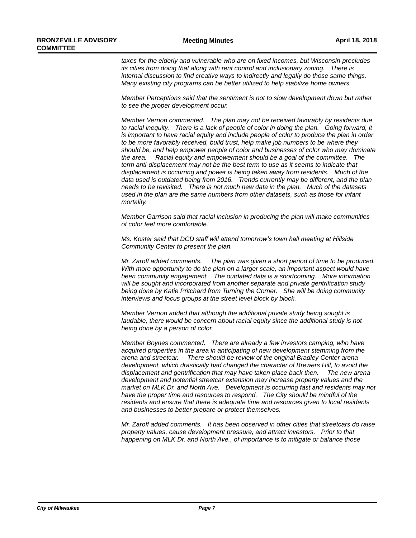*taxes for the elderly and vulnerable who are on fixed incomes, but Wisconsin precludes its cities from doing that along with rent control and inclusionary zoning. There is internal discussion to find creative ways to indirectly and legally do those same things. Many existing city programs can be better utilized to help stabilize home owners.* 

*Member Perceptions said that the sentiment is not to slow development down but rather to see the proper development occur.* 

*Member Vernon commented. The plan may not be received favorably by residents due to racial inequity. There is a lack of people of color in doing the plan. Going forward, it is important to have racial equity and include people of color to produce the plan in order to be more favorably received, build trust, help make job numbers to be where they should be, and help empower people of color and businesses of color who may dominate the area. Racial equity and empowerment should be a goal of the committee. The term anti-displacement may not be the best term to use as it seems to indicate that displacement is occurring and power is being taken away from residents. Much of the data used is outdated being from 2016. Trends currently may be different, and the plan needs to be revisited. There is not much new data in the plan. Much of the datasets used in the plan are the same numbers from other datasets, such as those for infant mortality.*

*Member Garrison said that racial inclusion in producing the plan will make communities of color feel more comfortable.* 

*Ms. Koster said that DCD staff will attend tomorrow's town hall meeting at Hillside Community Center to present the plan.*

*Mr. Zaroff added comments. The plan was given a short period of time to be produced. With more opportunity to do the plan on a larger scale, an important aspect would have been community engagement. The outdated data is a shortcoming. More information will be sought and incorporated from another separate and private gentrification study being done by Katie Pritchard from Turning the Corner. She will be doing community interviews and focus groups at the street level block by block.* 

*Member Vernon added that although the additional private study being sought is*  laudable, there would be concern about racial equity since the additional study is not *being done by a person of color.*

*Member Boynes commented. There are already a few investors camping, who have acquired properties in the area in anticipating of new development stemming from the arena and streetcar. There should be review of the original Bradley Center arena development, which drastically had changed the character of Brewers Hill, to avoid the displacement and gentrification that may have taken place back then. The new arena development and potential streetcar extension may increase property values and the market on MLK Dr. and North Ave. Development is occurring fast and residents may not have the proper time and resources to respond. The City should be mindful of the residents and ensure that there is adequate time and resources given to local residents and businesses to better prepare or protect themselves.* 

*Mr. Zaroff added comments. It has been observed in other cities that streetcars do raise property values, cause development pressure, and attract investors. Prior to that happening on MLK Dr. and North Ave., of importance is to mitigate or balance those*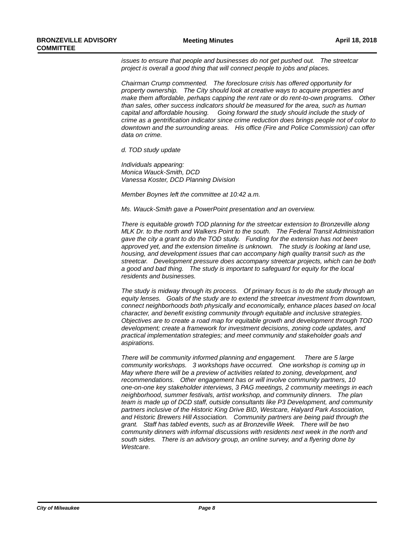*issues to ensure that people and businesses do not get pushed out. The streetcar project is overall a good thing that will connect people to jobs and places.*

*Chairman Crump commented. The foreclosure crisis has offered opportunity for property ownership. The City should look at creative ways to acquire properties and make them affordable, perhaps capping the rent rate or do rent-to-own programs. Other than sales, other success indicators should be measured for the area, such as human capital and affordable housing. Going forward the study should include the study of crime as a gentrification indicator since crime reduction does brings people not of color to downtown and the surrounding areas. His office (Fire and Police Commission) can offer data on crime.* 

*d. TOD study update*

*Individuals appearing: Monica Wauck-Smith, DCD Vanessa Koster, DCD Planning Division*

*Member Boynes left the committee at 10:42 a.m.*

*Ms. Wauck-Smith gave a PowerPoint presentation and an overview.*

*There is equitable growth TOD planning for the streetcar extension to Bronzeville along MLK Dr. to the north and Walkers Point to the south. The Federal Transit Administration gave the city a grant to do the TOD study. Funding for the extension has not been approved yet, and the extension timeline is unknown. The study is looking at land use, housing, and development issues that can accompany high quality transit such as the streetcar. Development pressure does accompany streetcar projects, which can be both a good and bad thing. The study is important to safeguard for equity for the local residents and businesses.*

*The study is midway through its process. Of primary focus is to do the study through an equity lenses. Goals of the study are to extend the streetcar investment from downtown, connect neighborhoods both physically and economically, enhance places based on local character, and benefit existing community through equitable and inclusive strategies. Objectives are to create a road map for equitable growth and development through TOD development; create a framework for investment decisions, zoning code updates, and practical implementation strategies; and meet community and stakeholder goals and aspirations.* 

*There will be community informed planning and engagement. There are 5 large community workshops. 3 workshops have occurred. One workshop is coming up in May where there will be a preview of activities related to zoning, development, and recommendations. Other engagement has or will involve community partners, 10 one-on-one key stakeholder interviews, 3 PAG meetings, 2 community meetings in each neighborhood, summer festivals, artist workshop, and community dinners. The plan team is made up of DCD staff, outside consultants like P3 Development, and community partners inclusive of the Historic King Drive BID, Westcare, Halyard Park Association, and Historic Brewers Hill Association. Community partners are being paid through the grant. Staff has tabled events, such as at Bronzeville Week. There will be two community dinners with informal discussions with residents next week in the north and south sides. There is an advisory group, an online survey, and a flyering done by Westcare.*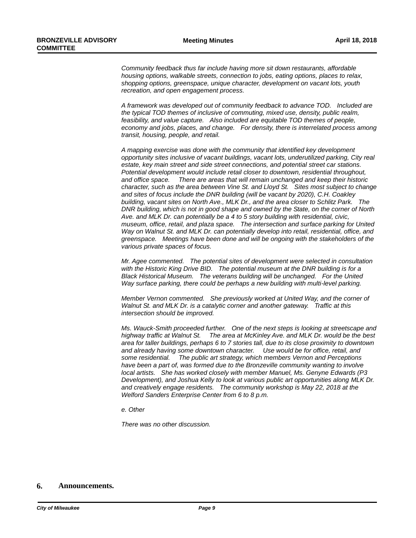*Community feedback thus far include having more sit down restaurants, affordable housing options, walkable streets, connection to jobs, eating options, places to relax, shopping options, greenspace, unique character, development on vacant lots, youth recreation, and open engagement process.*

*A framework was developed out of community feedback to advance TOD. Included are the typical TOD themes of inclusive of commuting, mixed use, density, public realm, feasibility, and value capture. Also included are equitable TOD themes of people, economy and jobs, places, and change. For density, there is interrelated process among transit, housing, people, and retail.*

*A mapping exercise was done with the community that identified key development opportunity sites inclusive of vacant buildings, vacant lots, underutilized parking, City real estate, key main street and side street connections, and potential street car stations. Potential development would include retail closer to downtown, residential throughout, and office space. There are areas that will remain unchanged and keep their historic character, such as the area between Vine St. and Lloyd St. Sites most subject to change and sites of focus include the DNR building (will be vacant by 2020), C.H. Coakley building, vacant sites on North Ave., MLK Dr., and the area closer to Schlitz Park. The DNR building, which is not in good shape and owned by the State, on the corner of North Ave. and MLK Dr. can potentially be a 4 to 5 story building with residential, civic, museum, office, retail, and plaza space. The intersection and surface parking for United Way on Walnut St. and MLK Dr. can potentially develop into retail, residential, office, and greenspace. Meetings have been done and will be ongoing with the stakeholders of the various private spaces of focus.*

*Mr. Agee commented. The potential sites of development were selected in consultation with the Historic King Drive BID. The potential museum at the DNR building is for a Black Historical Museum. The veterans building will be unchanged. For the United Way surface parking, there could be perhaps a new building with multi-level parking.*

*Member Vernon commented. She previously worked at United Way, and the corner of Walnut St. and MLK Dr. is a catalytic corner and another gateway. Traffic at this intersection should be improved.*

*Ms. Wauck-Smith proceeded further. One of the next steps is looking at streetscape and highway traffic at Walnut St. The area at McKinley Ave. and MLK Dr. would be the best area for taller buildings, perhaps 6 to 7 stories tall, due to its close proximity to downtown and already having some downtown character. Use would be for office, retail, and some residential. The public art strategy, which members Vernon and Perceptions have been a part of, was formed due to the Bronzeville community wanting to involve local artists. She has worked closely with member Manuel, Ms. Genyne Edwards (P3 Development), and Joshua Kelly to look at various public art opportunities along MLK Dr. and creatively engage residents. The community workshop is May 22, 2018 at the Welford Sanders Enterprise Center from 6 to 8 p.m.*

*e. Other*

*There was no other discussion.*

#### **6. Announcements.**